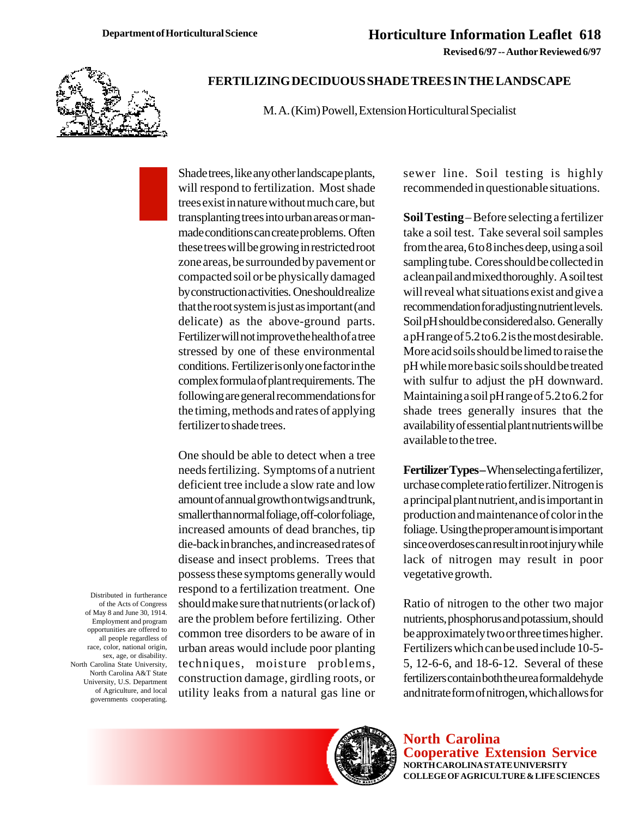**Revised 6/97 -- Author Reviewed 6/97**



## **FERTILIZING DECIDUOUS SHADE TREES IN THE LANDSCAPE**

M. A. (Kim) Powell, Extension Horticultural Specialist

Shade trees, like any other landscape plants, will respond to fertilization. Most shade trees exist in nature without much care, but transplanting trees into urban areas or manmade conditions can create problems. Often these trees will be growing in restricted root zone areas, be surrounded by pavement or compacted soil or be physically damaged by construction activities. One should realize that the root system is just as important (and delicate) as the above-ground parts. Fertilizer will not improve the health of a tree stressed by one of these environmental conditions. Fertilizer is only one factor in the complex formula of plant requirements. The following are general recommendations for the timing, methods and rates of applying fertilizer to shade trees.

One should be able to detect when a tree needs fertilizing. Symptoms of a nutrient deficient tree include a slow rate and low amount of annual growth on twigs and trunk, smaller than normal foliage, off-color foliage, increased amounts of dead branches, tip die-back in branches, and increased rates of disease and insect problems. Trees that possess these symptoms generally would respond to a fertilization treatment. One should make sure that nutrients (or lack of) are the problem before fertilizing. Other common tree disorders to be aware of in urban areas would include poor planting techniques, moisture problems, construction damage, girdling roots, or utility leaks from a natural gas line or

sewer line. Soil testing is highly recommended in questionable situations.

**Soil Testing** – Before selecting a fertilizer take a soil test. Take several soil samples from the area, 6 to 8 inches deep, using a soil sampling tube. Cores should be collected in a clean pail and mixed thoroughly. A soil test will reveal what situations exist and give a recommendation for adjusting nutrient levels. Soil pH should be considered also. Generally a pH range of 5.2 to 6.2 is the most desirable. More acid soils should be limed to raise the pH while more basic soils should be treated with sulfur to adjust the pH downward. Maintaining a soil pH range of 5.2 to 6.2 for shade trees generally insures that the availability of essential plant nutrients will be available to the tree.

**Fertilizer Types –** When selecting a fertilizer, urchase complete ratio fertilizer. Nitrogen is a principal plant nutrient, and is important in production and maintenance of color in the foliage. Using the proper amount is important since overdoses can result in root injury while lack of nitrogen may result in poor vegetative growth.

Ratio of nitrogen to the other two major nutrients, phosphorus and potassium, should be approximately two or three times higher. Fertilizers which can be used include 10-5- 5, 12-6-6, and 18-6-12. Several of these fertilizers contain both the urea formaldehyde and nitrate form of nitrogen, which allows for

**North Carolina Cooperative Extension Service NORTH CAROLINA STATE UNIVERSITY COLLEGE OF AGRICULTURE & LIFE SCIENCES**

Distributed in furtherance of the Acts of Congress of May 8 and June 30, 1914. Employment and program opportunities are offered to all people regardless of race, color, national origin, sex, age, or disability. North Carolina State University, North Carolina A&T State University, U.S. Department of Agriculture, and local governments cooperating.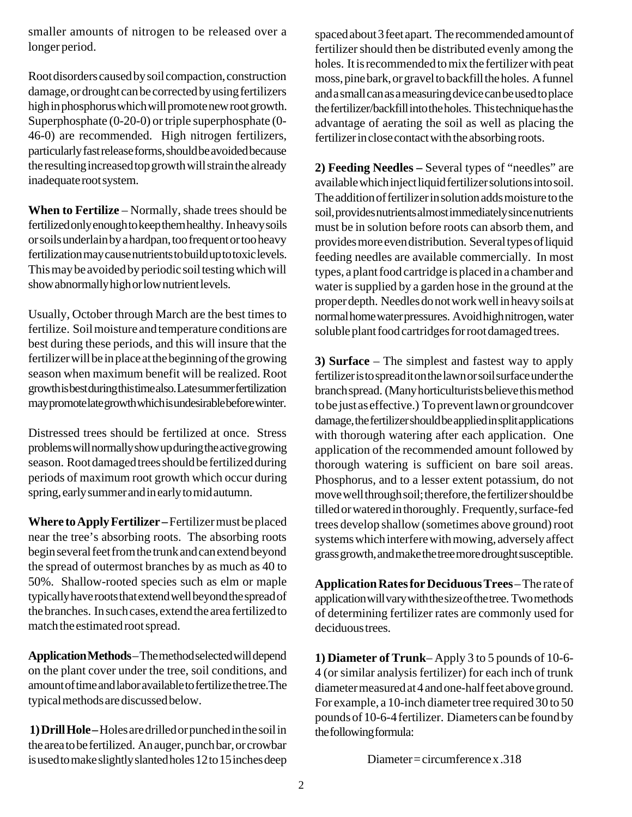smaller amounts of nitrogen to be released over a longer period.

Root disorders caused by soil compaction, construction damage, or drought can be corrected by using fertilizers high in phosphorus which will promote new root growth. Superphosphate (0-20-0) or triple superphosphate (0- 46-0) are recommended. High nitrogen fertilizers, particularly fast release forms, should be avoided because the resulting increased top growth will strain the already inadequate root system.

**When to Fertilize** – Normally, shade trees should be fertilized only enough to keep them healthy. In heavy soils or soils underlain by a hardpan, too frequent or too heavy fertilization may cause nutrients to build up to toxic levels. This may be avoided by periodic soil testing which will show abnormally high or low nutrient levels.

Usually, October through March are the best times to fertilize. Soil moisture and temperature conditions are best during these periods, and this will insure that the fertilizer will be in place at the beginning of the growing season when maximum benefit will be realized. Root growth is best during this time also. Late summer fertilization may promote late growth which is undesirable before winter.

Distressed trees should be fertilized at once. Stress problems will normally show up during the active growing season. Root damaged trees should be fertilized during periods of maximum root growth which occur during spring, early summer and in early to mid autumn.

**Where to Apply Fertilizer –** Fertilizer must be placed near the tree's absorbing roots. The absorbing roots begin several feet from the trunk and can extend beyond the spread of outermost branches by as much as 40 to 50%. Shallow-rooted species such as elm or maple typically have roots that extend well beyond the spread of the branches. In such cases, extend the area fertilized to match the estimated root spread.

**Application Methods** – The method selected will depend on the plant cover under the tree, soil conditions, and amount of time and labor available to fertilize the tree.The typical methods are discussed below.

 **1) Drill Hole –** Holes are drilled or punched in the soil in the area to be fertilized. An auger, punch bar, or crowbar is used to make slightly slanted holes 12 to 15 inches deep spaced about 3 feet apart. The recommended amount of fertilizer should then be distributed evenly among the holes. It is recommended to mix the fertilizer with peat moss, pine bark, or gravel to backfill the holes. A funnel and a small can as a measuring device can be used to place the fertilizer/backfill into the holes. This technique has the advantage of aerating the soil as well as placing the fertilizer in close contact with the absorbing roots.

**2) Feeding Needles –** Several types of "needles" are available which inject liquid fertilizer solutions into soil. The addition of fertilizer in solution adds moisture to the soil, provides nutrients almost immediately since nutrients must be in solution before roots can absorb them, and provides more even distribution. Several types of liquid feeding needles are available commercially. In most types, a plant food cartridge is placed in a chamber and water is supplied by a garden hose in the ground at the proper depth. Needles do not work well in heavy soils at normal home water pressures. Avoid high nitrogen, water soluble plant food cartridges for root damaged trees.

**3) Surface** – The simplest and fastest way to apply fertilizer is to spread it on the lawn or soil surface under the branch spread. (Many horticulturists believe this method to be just as effective.) To prevent lawn or groundcover damage, the fertilizer should be applied in split applications with thorough watering after each application. One application of the recommended amount followed by thorough watering is sufficient on bare soil areas. Phosphorus, and to a lesser extent potassium, do not move well through soil; therefore, the fertilizer should be tilled or watered in thoroughly. Frequently, surface-fed trees develop shallow (sometimes above ground) root systems which interfere with mowing, adversely affect grass growth, and make the tree more drought susceptible.

**Application Rates for Deciduous Trees** – The rate of application will vary with the size of the tree. Two methods of determining fertilizer rates are commonly used for deciduous trees.

**1) Diameter of Trunk**– Apply 3 to 5 pounds of 10-6- 4 (or similar analysis fertilizer) for each inch of trunk diameter measured at 4 and one-half feet above ground. For example, a 10-inch diameter tree required 30 to 50 pounds of 10-6-4 fertilizer. Diameters can be found by the following formula:

Diameter = circumference x .318